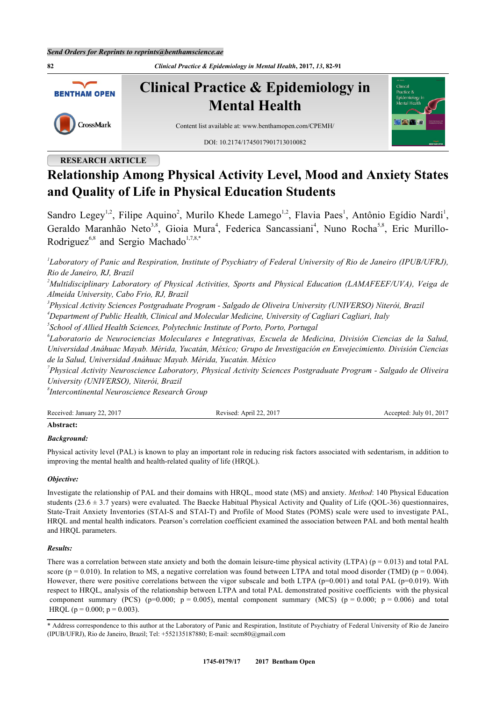**82** *Clinical Practice & Epidemiology in Mental Health***, 2017,** *13***, 82-91**



# **RESEARCH ARTICLE**

# **Relationship Among Physical Activity Level, Mood and Anxiety States and Quality of Life in Physical Education Students**

Sandro Legey<sup>[1](#page-0-0)[,2](#page-0-1)</sup>, Filipe Aquino<sup>[2](#page-0-1)</sup>, Murilo Khede Lamego<sup>1,2</sup>, Flavia Paes<sup>1</sup>, Antônio Egídio Nardi<sup>1</sup>, Geraldo Maranhão Neto<sup>[3](#page-0-2)[,8](#page-0-3)</sup>, Gioia Mura<sup>[4](#page-0-4)</sup>, Federica Sancassiani<sup>4</sup>, Nuno Rocha<sup>[5,](#page-0-5)[8](#page-0-3)</sup>, Eric Murillo-Rodriguez<sup>[6,](#page-0-6)[8](#page-0-3)</sup> and Sergio Machado<sup>[1,](#page-0-0)[7](#page-0-7)[,8](#page-0-3)[,\\*](#page-0-8)</sup>

<span id="page-0-0"></span>*1 Laboratory of Panic and Respiration, Institute of Psychiatry of Federal University of Rio de Janeiro (IPUB/UFRJ), Rio de Janeiro, RJ, Brazil*

<span id="page-0-1"></span>*<sup>2</sup>Multidisciplinary Laboratory of Physical Activities, Sports and Physical Education (LAMAFEEF/UVA), Veiga de Almeida University, Cabo Frio, RJ, Brazil*

<span id="page-0-2"></span>*3 Physical Activity Sciences Postgraduate Program - Salgado de Oliveira University (UNIVERSO) Niterói, Brazil*

<span id="page-0-4"></span>*<sup>4</sup>Department of Public Health, Clinical and Molecular Medicine, University of Cagliari Cagliari, Italy*

<span id="page-0-5"></span>*5 School of Allied Health Sciences, Polytechnic Institute of Porto, Porto, Portugal*

<span id="page-0-6"></span>*6 Laboratorio de Neurociencias Moleculares e Integrativas, Escuela de Medicina, División Ciencias de la Salud, Universidad Anáhuac Mayab. Mérida, Yucatán, México; Grupo de Investigación en Envejecimiento. División Ciencias de la Salud, Universidad Anáhuac Mayab. Mérida, Yucatán. México*

<span id="page-0-7"></span>*7 Physical Activity Neuroscience Laboratory, Physical Activity Sciences Postgraduate Program - Salgado de Oliveira University (UNIVERSO), Niterói, Brazil*

<span id="page-0-3"></span>*8 Intercontinental Neuroscience Research Group*

| Received: January 22, 2017 | Revised: April 22, 2017 | Accepted: July 01, 2017 |
|----------------------------|-------------------------|-------------------------|
| Abstract:                  |                         |                         |

#### *Background:*

Physical activity level (PAL) is known to play an important role in reducing risk factors associated with sedentarism, in addition to improving the mental health and health-related quality of life (HRQL).

#### *Objective:*

Investigate the relationship of PAL and their domains with HRQL, mood state (MS) and anxiety. *Method*: 140 Physical Education students ( $23.6 \pm 3.7$  years) were evaluated. The Baecke Habitual Physical Activity and Quality of Life (QOL-36) questionnaires, State-Trait Anxiety Inventories (STAI-S and STAI-T) and Profile of Mood States (POMS) scale were used to investigate PAL, HRQL and mental health indicators. Pearson's correlation coefficient examined the association between PAL and both mental health and HRQL parameters.

#### *Results:*

There was a correlation between state anxiety and both the domain leisure-time physical activity (LTPA) ( $p = 0.013$ ) and total PAL score (p = 0.010). In relation to MS, a negative correlation was found between LTPA and total mood disorder (TMD) (p = 0.004). However, there were positive correlations between the vigor subscale and both LTPA ( $p=0.001$ ) and total PAL ( $p=0.019$ ). With respect to HRQL, analysis of the relationship between LTPA and total PAL demonstrated positive coefficients with the physical component summary (PCS) ( $p=0.000$ ;  $p = 0.005$ ), mental component summary (MCS) ( $p = 0.000$ ;  $p = 0.006$ ) and total HRQL ( $p = 0.000$ ;  $p = 0.003$ ).

<span id="page-0-8"></span>\* Address correspondence to this author at the Laboratory of Panic and Respiration, Institute of Psychiatry of Federal University of Rio de Janeiro (IPUB/UFRJ), Rio de Janeiro, Brazil; Tel: +552135187880; E-mail: [secm80@gmail.com](mailto:secm80@gmail.com)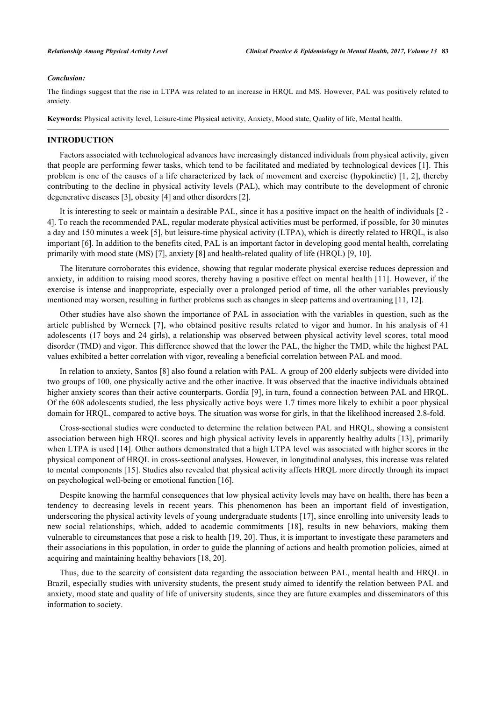#### *Conclusion:*

The findings suggest that the rise in LTPA was related to an increase in HRQL and MS. However, PAL was positively related to anxiety.

**Keywords:** Physical activity level, Leisure-time Physical activity, Anxiety, Mood state, Quality of life, Mental health.

#### **INTRODUCTION**

Factors associated with technological advances have increasingly distanced individuals from physical activity, given that people are performing fewer tasks, which tend to be facilitated and mediated by technological devices [\[1](#page-6-0)]. This problem is one of the causes of a life characterized by lack of movement and exercise (hypokinetic) [[1,](#page-6-0) [2\]](#page-6-1), thereby contributing to the decline in physical activity levels (PAL), which may contribute to the development of chronic degenerative diseases [[3\]](#page-6-2), obesity [[4\]](#page-6-3) and other disorders [\[2](#page-6-1)].

It is interesting to seek or maintain a desirable PAL, since it has a positive impact on the health of individuals [\[2](#page-6-1) - [4\]](#page-6-3). To reach the recommended PAL, regular moderate physical activities must be performed, if possible, for 30 minutes a day and 150 minutes a week [\[5](#page-6-4)], but leisure-time physical activity (LTPA), which is directly related to HRQL, is also important [[6\]](#page-6-5). In addition to the benefits cited, PAL is an important factor in developing good mental health, correlating primarily with mood state (MS) [[7\]](#page-6-6), anxiety [\[8](#page-6-7)] and health-related quality of life (HRQL) [\[9](#page-6-8), [10](#page-6-9)].

The literature corroborates this evidence, showing that regular moderate physical exercise reduces depression and anxiety, in addition to raising mood scores, thereby having a positive effect on mental health [[11\]](#page-6-10). However, if the exercise is intense and inappropriate, especially over a prolonged period of time, all the other variables previously mentioned may worsen, resulting in further problems such as changes in sleep patterns and overtraining [[11,](#page-6-10) [12\]](#page-6-11).

Other studies have also shown the importance of PAL in association with the variables in question, such as the article published by Werneck [[7](#page-6-6)], who obtained positive results related to vigor and humor. In his analysis of 41 adolescents (17 boys and 24 girls), a relationship was observed between physical activity level scores, total mood disorder (TMD) and vigor. This difference showed that the lower the PAL, the higher the TMD, while the highest PAL values exhibited a better correlation with vigor, revealing a beneficial correlation between PAL and mood.

In relation to anxiety, Santos [[8\]](#page-6-7) also found a relation with PAL. A group of 200 elderly subjects were divided into two groups of 100, one physically active and the other inactive. It was observed that the inactive individuals obtained higher anxiety scores than their active counterparts. Gordia [\[9](#page-6-8)], in turn, found a connection between PAL and HROL. Of the 608 adolescents studied, the less physically active boys were 1.7 times more likely to exhibit a poor physical domain for HRQL, compared to active boys. The situation was worse for girls, in that the likelihood increased 2.8-fold.

Cross-sectional studies were conducted to determine the relation between PAL and HRQL, showing a consistent association between high HRQL scores and high physical activity levels in apparently healthy adults [\[13](#page-6-12)], primarily when LTPA is used [[14\]](#page-7-0). Other authors demonstrated that a high LTPA level was associated with higher scores in the physical component of HRQL in cross-sectional analyses. However, in longitudinal analyses, this increase was related to mental components [[15\]](#page-7-1). Studies also revealed that physical activity affects HRQL more directly through its impact on psychological well-being or emotional function [\[16](#page-7-2)].

Despite knowing the harmful consequences that low physical activity levels may have on health, there has been a tendency to decreasing levels in recent years. This phenomenon has been an important field of investigation, underscoring the physical activity levels of young undergraduate students [\[17](#page-7-3)], since enrolling into university leads to new social relationships, which, added to academic commitments [\[18\]](#page-7-4), results in new behaviors, making them vulnerable to circumstances that pose a risk to health [[19,](#page-7-5) [20](#page-7-6)]. Thus, it is important to investigate these parameters and their associations in this population, in order to guide the planning of actions and health promotion policies, aimed at acquiring and maintaining healthy behaviors [[18,](#page-7-4) [20\]](#page-7-6).

Thus, due to the scarcity of consistent data regarding the association between PAL, mental health and HRQL in Brazil, especially studies with university students, the present study aimed to identify the relation between PAL and anxiety, mood state and quality of life of university students, since they are future examples and disseminators of this information to society.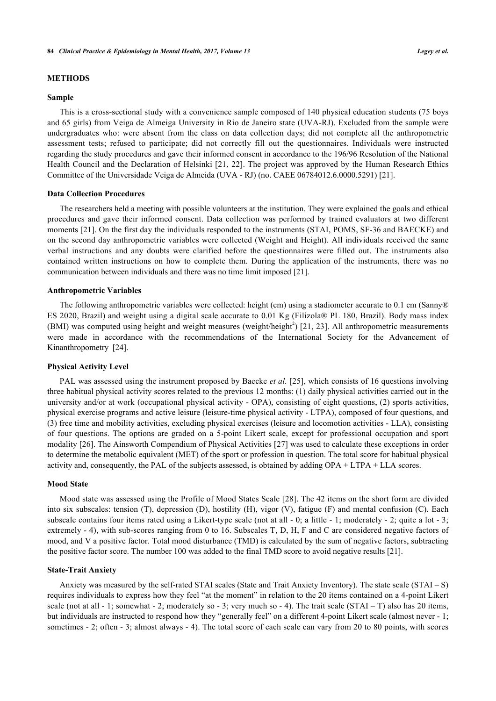# **METHODS**

#### **Sample**

This is a cross-sectional study with a convenience sample composed of 140 physical education students (75 boys and 65 girls) from Veiga de Almeiga University in Rio de Janeiro state (UVA-RJ). Excluded from the sample were undergraduates who: were absent from the class on data collection days; did not complete all the anthropometric assessment tests; refused to participate; did not correctly fill out the questionnaires. Individuals were instructed regarding the study procedures and gave their informed consent in accordance to the 196/96 Resolution of the National Health Council and the Declaration of Helsinki [[21,](#page-7-7) [22](#page-7-8)]. The project was approved by the Human Research Ethics Committee of the Universidade Veiga de Almeida (UVA - RJ) (no. CAEE 06784012.6.0000.5291) [[21\]](#page-7-7).

#### **Data Collection Procedures**

The researchers held a meeting with possible volunteers at the institution. They were explained the goals and ethical procedures and gave their informed consent. Data collection was performed by trained evaluators at two different moments [[21](#page-7-7)]. On the first day the individuals responded to the instruments (STAI, POMS, SF-36 and BAECKE) and on the second day anthropometric variables were collected (Weight and Height). All individuals received the same verbal instructions and any doubts were clarified before the questionnaires were filled out. The instruments also contained written instructions on how to complete them. During the application of the instruments, there was no communication between individuals and there was no time limit imposed [[21\]](#page-7-7).

#### **Anthropometric Variables**

The following anthropometric variables were collected: height (cm) using a stadiometer accurate to 0.1 cm (Sanny® ES 2020, Brazil) and weight using a digital scale accurate to 0.01 Kg (Filizola® PL 180, Brazil). Body mass index (BMI) was computed using height and weight measures (weight/height<sup>2</sup>) [[21,](#page-7-7) [23\]](#page-7-9). All anthropometric measurements were made in accordance with the recommendations of the International Society for the Advancement of Kinanthropometry [\[24](#page-7-10)].

#### **Physical Activity Level**

PAL was assessed using the instrument proposed by Baecke *et al.* [[25](#page-7-11)], which consists of 16 questions involving three habitual physical activity scores related to the previous 12 months: (1) daily physical activities carried out in the university and/or at work (occupational physical activity - OPA), consisting of eight questions, (2) sports activities, physical exercise programs and active leisure (leisure-time physical activity - LTPA), composed of four questions, and (3) free time and mobility activities, excluding physical exercises (leisure and locomotion activities - LLA), consisting of four questions. The options are graded on a 5-point Likert scale, except for professional occupation and sport modality [[26\]](#page-7-12). The Ainsworth Compendium of Physical Activities [\[27](#page-7-13)] was used to calculate these exceptions in order to determine the metabolic equivalent (MET) of the sport or profession in question. The total score for habitual physical activity and, consequently, the PAL of the subjects assessed, is obtained by adding OPA + LTPA + LLA scores.

#### **Mood State**

Mood state was assessed using the Profile of Mood States Scale [\[28](#page-7-14)]. The 42 items on the short form are divided into six subscales: tension (T), depression (D), hostility (H), vigor (V), fatigue (F) and mental confusion (C). Each subscale contains four items rated using a Likert-type scale (not at all  $-0$ ; a little  $-1$ ; moderately  $-2$ ; quite a lot  $-3$ ; extremely - 4), with sub-scores ranging from 0 to 16. Subscales T, D, H, F and C are considered negative factors of mood, and V a positive factor. Total mood disturbance (TMD) is calculated by the sum of negative factors, subtracting the positive factor score. The number 100 was added to the final TMD score to avoid negative results [\[21](#page-7-7)].

#### **State-Trait Anxiety**

Anxiety was measured by the self-rated STAI scales (State and Trait Anxiety Inventory). The state scale (STAI – S) requires individuals to express how they feel "at the moment" in relation to the 20 items contained on a 4-point Likert scale (not at all - 1; somewhat - 2; moderately so - 3; very much so - 4). The trait scale (STAI – T) also has 20 items, but individuals are instructed to respond how they "generally feel" on a different 4-point Likert scale (almost never - 1; sometimes - 2; often - 3; almost always - 4). The total score of each scale can vary from 20 to 80 points, with scores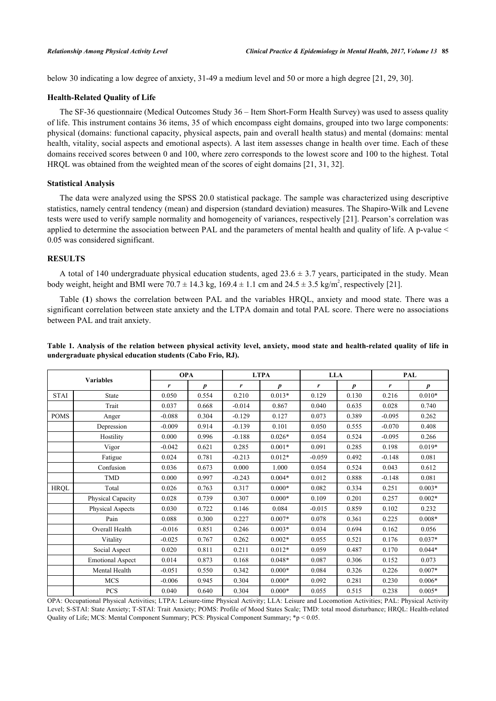below 30 indicating a low degree of anxiety, 31-49 a medium level and 50 or more a high degree [[21,](#page-7-7) [29,](#page-7-15) [30\]](#page-7-16).

#### **Health-Related Quality of Life**

The SF-36 questionnaire (Medical Outcomes Study 36 – Item Short-Form Health Survey) was used to assess quality of life. This instrument contains 36 items, 35 of which encompass eight domains, grouped into two large components: physical (domains: functional capacity, physical aspects, pain and overall health status) and mental (domains: mental health, vitality, social aspects and emotional aspects). A last item assesses change in health over time. Each of these domains received scores between 0 and 100, where zero corresponds to the lowest score and 100 to the highest. Total HRQL was obtained from the weighted mean of the scores of eight domains [\[21](#page-7-7), [31](#page-7-17), [32](#page-7-18)].

#### **Statistical Analysis**

The data were analyzed using the SPSS 20.0 statistical package. The sample was characterized using descriptive statistics, namely central tendency (mean) and dispersion (standard deviation) measures. The Shapiro-Wilk and Levene tests were used to verify sample normality and homogeneity of variances, respectively [\[21](#page-7-7)]. Pearson's correlation was applied to determine the association between PAL and the parameters of mental health and quality of life. A p-value < 0.05 was considered significant.

# **RESULTS**

A total of 140 undergraduate physical education students, aged  $23.6 \pm 3.7$  years, participated in the study. Mean body weight, height and BMI were  $70.7 \pm 14.3$  kg,  $169.4 \pm 1.1$  cm and  $24.5 \pm 3.5$  kg/m<sup>2</sup>, respectively [\[21](#page-7-7)].

Table (**[1](#page-3-0)**) shows the correlation between PAL and the variables HRQL, anxiety and mood state. There was a significant correlation between state anxiety and the LTPA domain and total PAL score. There were no associations between PAL and trait anxiety.

| <b>Variables</b> |                         | <b>OPA</b> |       | <b>LTPA</b> |                  | <b>LLA</b> |                  | PAL      |          |
|------------------|-------------------------|------------|-------|-------------|------------------|------------|------------------|----------|----------|
|                  |                         | r          | p     | r           | $\boldsymbol{p}$ | r          | $\boldsymbol{p}$ | r        | p        |
| <b>STAI</b>      | <b>State</b>            | 0.050      | 0.554 | 0.210       | $0.013*$         | 0.129      | 0.130            | 0.216    | $0.010*$ |
|                  | Trait                   | 0.037      | 0.668 | $-0.014$    | 0.867            | 0.040      | 0.635            | 0.028    | 0.740    |
| <b>POMS</b>      | Anger                   | $-0.088$   | 0.304 | $-0.129$    | 0.127            | 0.073      | 0.389            | $-0.095$ | 0.262    |
|                  | Depression              | $-0.009$   | 0.914 | $-0.139$    | 0.101            | 0.050      | 0.555            | $-0.070$ | 0.408    |
|                  | Hostility               | 0.000      | 0.996 | $-0.188$    | $0.026*$         | 0.054      | 0.524            | $-0.095$ | 0.266    |
|                  | Vigor                   | $-0.042$   | 0.621 | 0.285       | $0.001*$         | 0.091      | 0.285            | 0.198    | $0.019*$ |
|                  | Fatigue                 | 0.024      | 0.781 | $-0.213$    | $0.012*$         | $-0.059$   | 0.492            | $-0.148$ | 0.081    |
|                  | Confusion               | 0.036      | 0.673 | 0.000       | 1.000            | 0.054      | 0.524            | 0.043    | 0.612    |
|                  | <b>TMD</b>              | 0.000      | 0.997 | $-0.243$    | $0.004*$         | 0.012      | 0.888            | $-0.148$ | 0.081    |
| <b>HRQL</b>      | Total                   | 0.026      | 0.763 | 0.317       | $0.000*$         | 0.082      | 0.334            | 0.251    | $0.003*$ |
|                  | Physical Capacity       | 0.028      | 0.739 | 0.307       | $0.000*$         | 0.109      | 0.201            | 0.257    | $0.002*$ |
|                  | Physical Aspects        | 0.030      | 0.722 | 0.146       | 0.084            | $-0.015$   | 0.859            | 0.102    | 0.232    |
|                  | Pain                    | 0.088      | 0.300 | 0.227       | $0.007*$         | 0.078      | 0.361            | 0.225    | $0.008*$ |
|                  | Overall Health          | $-0.016$   | 0.851 | 0.246       | $0.003*$         | 0.034      | 0.694            | 0.162    | 0.056    |
|                  | Vitality                | $-0.025$   | 0.767 | 0.262       | $0.002*$         | 0.055      | 0.521            | 0.176    | $0.037*$ |
|                  | Social Aspect           | 0.020      | 0.811 | 0.211       | $0.012*$         | 0.059      | 0.487            | 0.170    | $0.044*$ |
|                  | <b>Emotional Aspect</b> | 0.014      | 0.873 | 0.168       | $0.048*$         | 0.087      | 0.306            | 0.152    | 0.073    |
|                  | Mental Health           | $-0.051$   | 0.550 | 0.342       | $0.000*$         | 0.084      | 0.326            | 0.226    | $0.007*$ |
|                  | <b>MCS</b>              | $-0.006$   | 0.945 | 0.304       | $0.000*$         | 0.092      | 0.281            | 0.230    | $0.006*$ |
|                  | PCS                     | 0.040      | 0.640 | 0.304       | $0.000*$         | 0.055      | 0.515            | 0.238    | $0.005*$ |

<span id="page-3-0"></span>**Table 1. Analysis of the relation between physical activity level, anxiety, mood state and health-related quality of life in undergraduate physical education students (Cabo Frio, RJ).**

OPA: Occupational Physical Activities; LTPA: Leisure-time Physical Activity; LLA: Leisure and Locomotion Activities; PAL: Physical Activity Level; S-STAI: State Anxiety; T-STAI: Trait Anxiety; POMS: Profile of Mood States Scale; TMD: total mood disturbance; HRQL: Health-related Quality of Life; MCS: Mental Component Summary; PCS: Physical Component Summary; \*p < 0.05.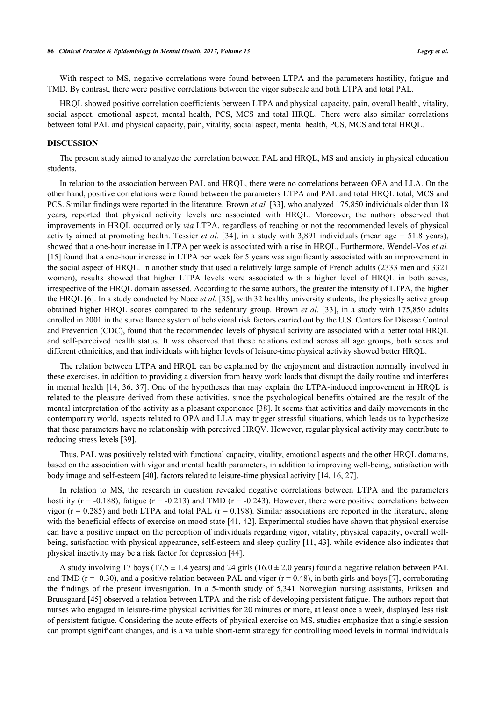With respect to MS, negative correlations were found between LTPA and the parameters hostility, fatigue and TMD. By contrast, there were positive correlations between the vigor subscale and both LTPA and total PAL.

HRQL showed positive correlation coefficients between LTPA and physical capacity, pain, overall health, vitality, social aspect, emotional aspect, mental health, PCS, MCS and total HRQL. There were also similar correlations between total PAL and physical capacity, pain, vitality, social aspect, mental health, PCS, MCS and total HRQL.

#### **DISCUSSION**

The present study aimed to analyze the correlation between PAL and HRQL, MS and anxiety in physical education students.

In relation to the association between PAL and HRQL, there were no correlations between OPA and LLA. On the other hand, positive correlations were found between the parameters LTPA and PAL and total HRQL total, MCS and PCS. Similar findings were reported in the literature. Brown *et al.* [\[33](#page-7-19)], who analyzed 175,850 individuals older than 18 years, reported that physical activity levels are associated with HRQL. Moreover, the authors observed that improvements in HRQL occurred only *via* LTPA, regardless of reaching or not the recommended levels of physical activity aimed at promoting health. Tessier *et al.* [\[34](#page-7-20)], in a study with  $3,891$  individuals (mean age = 51.8 years), showed that a one-hour increase in LTPA per week is associated with a rise in HRQL. Furthermore, Wendel-Vos *et al.* [\[15](#page-7-1)] found that a one-hour increase in LTPA per week for 5 years was significantly associated with an improvement in the social aspect of HRQL. In another study that used a relatively large sample of French adults (2333 men and 3321 women), results showed that higher LTPA levels were associated with a higher level of HRQL in both sexes, irrespective of the HRQL domain assessed. According to the same authors, the greater the intensity of LTPA, the higher the HRQL [[6\]](#page-6-5). In a study conducted by Noce *et al.* [\[35](#page-7-21)], with 32 healthy university students, the physically active group obtained higher HRQL scores compared to the sedentary group. Brown *et al.* [\[33](#page-7-19)], in a study with 175,850 adults enrolled in 2001 in the surveillance system of behavioral risk factors carried out by the U.S. Centers for Disease Control and Prevention (CDC), found that the recommended levels of physical activity are associated with a better total HRQL and self-perceived health status. It was observed that these relations extend across all age groups, both sexes and different ethnicities, and that individuals with higher levels of leisure-time physical activity showed better HRQL.

The relation between LTPA and HRQL can be explained by the enjoyment and distraction normally involved in these exercises, in addition to providing a diversion from heavy work loads that disrupt the daily routine and interferes in mental health [[14,](#page-7-0) [36](#page-8-0), [37](#page-8-1)]. One of the hypotheses that may explain the LTPA-induced improvement in HRQL is related to the pleasure derived from these activities, since the psychological benefits obtained are the result of the mental interpretation of the activity as a pleasant experience [[38](#page-8-2)]. It seems that activities and daily movements in the contemporary world, aspects related to OPA and LLA may trigger stressful situations, which leads us to hypothesize that these parameters have no relationship with perceived HRQV. However, regular physical activity may contribute to reducing stress levels [\[39](#page-8-3)].

Thus, PAL was positively related with functional capacity, vitality, emotional aspects and the other HRQL domains, based on the association with vigor and mental health parameters, in addition to improving well-being, satisfaction with body image and self-esteem [\[40](#page-8-4)], factors related to leisure-time physical activity [\[14](#page-7-0), [16](#page-7-2), [27](#page-7-13)].

In relation to MS, the research in question revealed negative correlations between LTPA and the parameters hostility ( $r = -0.188$ ), fatigue ( $r = -0.213$ ) and TMD ( $r = -0.243$ ). However, there were positive correlations between vigor ( $r = 0.285$ ) and both LTPA and total PAL ( $r = 0.198$ ). Similar associations are reported in the literature, along with the beneficial effects of exercise on mood state [[41,](#page-8-5) [42](#page-8-6)]. Experimental studies have shown that physical exercise can have a positive impact on the perception of individuals regarding vigor, vitality, physical capacity, overall wellbeing, satisfaction with physical appearance, self-esteem and sleep quality [[11,](#page-6-10) [43](#page-8-7)], while evidence also indicates that physical inactivity may be a risk factor for depression [\[44](#page-8-8)].

A study involving 17 boys (17.5  $\pm$  1.4 years) and 24 girls (16.0  $\pm$  2.0 years) found a negative relation between PAL and TMD ( $r = -0.30$ ), and a positive relation between PAL and vigor ( $r = 0.48$ ), in both girls and boys [[7\]](#page-6-6), corroborating the findings of the present investigation. In a 5-month study of 5,341 Norwegian nursing assistants, Eriksen and Bruusgaard [[45\]](#page-8-9) observed a relation between LTPA and the risk of developing persistent fatigue. The authors report that nurses who engaged in leisure-time physical activities for 20 minutes or more, at least once a week, displayed less risk of persistent fatigue. Considering the acute effects of physical exercise on MS, studies emphasize that a single session can prompt significant changes, and is a valuable short-term strategy for controlling mood levels in normal individuals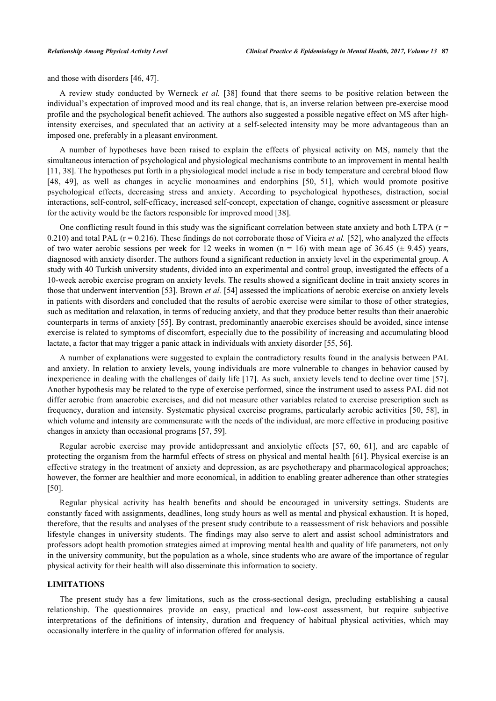and those with disorders [\[46](#page-8-10), [47](#page-8-11)].

A review study conducted by Werneck *et al.* [[38](#page-8-2)] found that there seems to be positive relation between the individual's expectation of improved mood and its real change, that is, an inverse relation between pre-exercise mood profile and the psychological benefit achieved. The authors also suggested a possible negative effect on MS after highintensity exercises, and speculated that an activity at a self-selected intensity may be more advantageous than an imposed one, preferably in a pleasant environment.

A number of hypotheses have been raised to explain the effects of physical activity on MS, namely that the simultaneous interaction of psychological and physiological mechanisms contribute to an improvement in mental health [\[11](#page-6-10), [38](#page-8-2)]. The hypotheses put forth in a physiological model include a rise in body temperature and cerebral blood flow [\[48](#page-8-12), [49](#page-8-13)], as well as changes in acyclic monoamines and endorphins[[50,](#page-8-14) [51\]](#page-8-15), which would promote positive psychological effects, decreasing stress and anxiety. According to psychological hypotheses, distraction, social interactions, self-control, self-efficacy, increased self-concept, expectation of change, cognitive assessment or pleasure for the activity would be the factors responsible for improved mood [[38\]](#page-8-2).

One conflicting result found in this study was the significant correlation between state anxiety and both LTPA  $(r =$ 0.210) and total PAL  $(r = 0.216)$ . These findings do not corroborate those of Vieira *et al.* [\[52](#page-8-16)], who analyzed the effects of two water aerobic sessions per week for 12 weeks in women (n = 16) with mean age of 36.45 ( $\pm$  9.45) years, diagnosed with anxiety disorder. The authors found a significant reduction in anxiety level in the experimental group. A study with 40 Turkish university students, divided into an experimental and control group, investigated the effects of a 10-week aerobic exercise program on anxiety levels. The results showed a significant decline in trait anxiety scores in those that underwent intervention [[53\]](#page-8-17). Brown *et al.* [\[54](#page-8-18)] assessed the implications of aerobic exercise on anxiety levels in patients with disorders and concluded that the results of aerobic exercise were similar to those of other strategies, such as meditation and relaxation, in terms of reducing anxiety, and that they produce better results than their anaerobic counterparts in terms of anxiety [[55\]](#page-8-19). By contrast, predominantly anaerobic exercises should be avoided, since intense exercise is related to symptoms of discomfort, especially due to the possibility of increasing and accumulating blood lactate, a factor that may trigger a panic attack in individuals with anxiety disorder [\[55](#page-8-19), [56](#page-8-20)].

A number of explanations were suggested to explain the contradictory results found in the analysis between PAL and anxiety. In relation to anxiety levels, young individuals are more vulnerable to changes in behavior caused by inexperience in dealing with the challenges of daily life [\[17\]](#page-7-3). As such, anxiety levels tend to decline over time [\[57\]](#page-8-21). Another hypothesis may be related to the type of exercise performed, since the instrument used to assess PAL did not differ aerobic from anaerobic exercises, and did not measure other variables related to exercise prescription such as frequency, duration and intensity. Systematic physical exercise programs, particularly aerobic activities [[50](#page-8-14), [58](#page-8-22)], in which volume and intensity are commensurate with the needs of the individual, are more effective in producing positive changes in anxiety than occasional programs [[57,](#page-8-21) [59\]](#page-8-23).

Regular aerobic exercise may provide antidepressant and anxiolytic effects[[57,](#page-8-21) [60](#page-8-24), [61](#page-9-0)], and are capable of protecting the organism from the harmful effects of stress on physical and mental health [[61\]](#page-9-0). Physical exercise is an effective strategy in the treatment of anxiety and depression, as are psychotherapy and pharmacological approaches; however, the former are healthier and more economical, in addition to enabling greater adherence than other strategies [\[50](#page-8-14)].

Regular physical activity has health benefits and should be encouraged in university settings. Students are constantly faced with assignments, deadlines, long study hours as well as mental and physical exhaustion. It is hoped, therefore, that the results and analyses of the present study contribute to a reassessment of risk behaviors and possible lifestyle changes in university students. The findings may also serve to alert and assist school administrators and professors adopt health promotion strategies aimed at improving mental health and quality of life parameters, not only in the university community, but the population as a whole, since students who are aware of the importance of regular physical activity for their health will also disseminate this information to society.

#### **LIMITATIONS**

The present study has a few limitations, such as the cross-sectional design, precluding establishing a causal relationship. The questionnaires provide an easy, practical and low-cost assessment, but require subjective interpretations of the definitions of intensity, duration and frequency of habitual physical activities, which may occasionally interfere in the quality of information offered for analysis.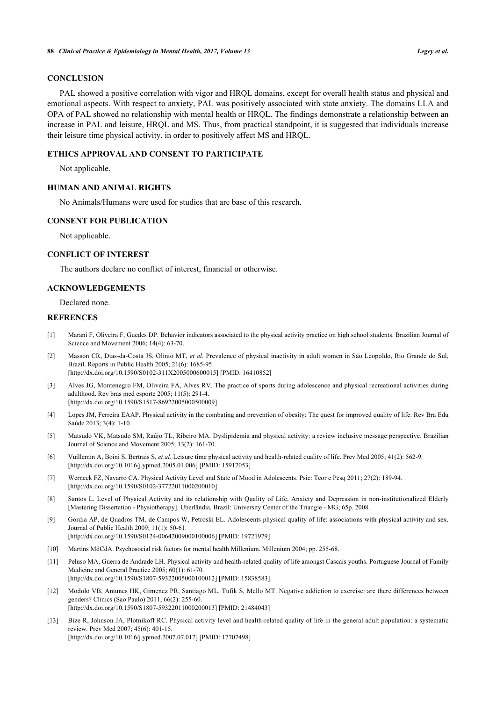#### **CONCLUSION**

PAL showed a positive correlation with vigor and HRQL domains, except for overall health status and physical and emotional aspects. With respect to anxiety, PAL was positively associated with state anxiety. The domains LLA and OPA of PAL showed no relationship with mental health or HRQL. The findings demonstrate a relationship between an increase in PAL and leisure, HRQL and MS. Thus, from practical standpoint, it is suggested that individuals increase their leisure time physical activity, in order to positively affect MS and HRQL.

#### **ETHICS APPROVAL AND CONSENT TO PARTICIPATE**

Not applicable.

# **HUMAN AND ANIMAL RIGHTS**

No Animals/Humans were used for studies that are base of this research.

#### **CONSENT FOR PUBLICATION**

Not applicable.

#### **CONFLICT OF INTEREST**

The authors declare no conflict of interest, financial or otherwise.

# **ACKNOWLEDGEMENTS**

Declared none.

#### **REFRENCES**

- <span id="page-6-0"></span>[1] Marani F, Oliveira F, Guedes DP. Behavior indicators associated to the physical activity practice on high school students. Brazilian Journal of Science and Movement 2006; 14(4): 63-70.
- <span id="page-6-1"></span>[2] Masson CR, Dias-da-Costa JS, Olinto MT, *et al.* Prevalence of physical inactivity in adult women in São Leopoldo, Rio Grande do Sul, Brazil. Reports in Public Health 2005; 21(6): 1685-95. [\[http://dx.doi.org/10.1590/S0102-311X2005000600015\]](http://dx.doi.org/10.1590/S0102-311X2005000600015) [PMID: [16410852](http://www.ncbi.nlm.nih.gov/pubmed/16410852)]
- <span id="page-6-2"></span>[3] Alves JG, Montenegro FM, Oliveira FA, Alves RV. The practice of sports during adolescence and physical recreational activities during adulthood. Rev bras med esporte 2005; 11(5): 291-4. [\[http://dx.doi.org/10.1590/S1517-86922005000500009\]](http://dx.doi.org/10.1590/S1517-86922005000500009)
- <span id="page-6-3"></span>[4] Lopes JM, Ferreira EAAP. Physical activity in the combating and prevention of obesity: The quest for improved quality of life. Rev Bra Edu Saúde 2013; 3(4): 1-10.
- <span id="page-6-4"></span>[5] Matsudo VK, Matsudo SM, Raújo TL, Ribeiro MA. Dyslipidemia and physical activity: a review inclusive message perspective. Brazilian Journal of Science and Movement 2005; 13(2): 161-70.
- <span id="page-6-5"></span>[6] Vuillemin A, Boini S, Bertrais S, *et al.* Leisure time physical activity and health-related quality of life. Prev Med 2005; 41(2): 562-9. [\[http://dx.doi.org/10.1016/j.ypmed.2005.01.006\]](http://dx.doi.org/10.1016/j.ypmed.2005.01.006) [PMID: [15917053](http://www.ncbi.nlm.nih.gov/pubmed/15917053)]
- <span id="page-6-6"></span>[7] Werneck FZ, Navarro CA. Physical Activity Level and State of Mood in Adolescents. Psic: Teor e Pesq 2011; 27(2): 189-94. [\[http://dx.doi.org/10.1590/S0102-37722011000200010\]](http://dx.doi.org/10.1590/S0102-37722011000200010)
- <span id="page-6-7"></span>[8] Santos L. Level of Physical Activity and its relationship with Quality of Life, Anxiety and Depression in non-institutionalized Elderly [Mastering Dissertation - Physiotherapy]. Uberlândia, Brazil: University Center of the Triangle - MG; 65p. 2008.
- <span id="page-6-8"></span>[9] Gordia AP, de Quadros TM, de Campos W, Petroski EL. Adolescents physical quality of life: associations with physical activity and sex. Journal of Public Health 2009; 11(1): 50-61. [\[http://dx.doi.org/10.1590/S0124-00642009000100006\]](http://dx.doi.org/10.1590/S0124-00642009000100006) [PMID: [19721979](http://www.ncbi.nlm.nih.gov/pubmed/19721979)]
- <span id="page-6-9"></span>[10] Martins MdCdA. Psychosocial risk factors for mental health Millenium. Millenium 2004; pp. 255-68.
- <span id="page-6-10"></span>[11] Peluso MA, Guerra de Andrade LH. Physical activity and health-related quality of life amongst Cascais youths. Portuguese Journal of Family Medicine and General Practice 2005; 60(1): 61-70. [\[http://dx.doi.org/10.1590/S1807-59322005000100012\]](http://dx.doi.org/10.1590/S1807-59322005000100012) [PMID: [15838583](http://www.ncbi.nlm.nih.gov/pubmed/15838583)]
- <span id="page-6-11"></span>[12] Modolo VB, Antunes HK, Gimenez PR, Santiago ML, Tufik S, Mello MT. Negative addiction to exercise: are there differences between genders? Clinics (Sao Paulo) 2011; 66(2): 255-60. [\[http://dx.doi.org/10.1590/S1807-59322011000200013\]](http://dx.doi.org/10.1590/S1807-59322011000200013) [PMID: [21484043](http://www.ncbi.nlm.nih.gov/pubmed/21484043)]
- <span id="page-6-12"></span>[13] Bize R, Johnson JA, Plotnikoff RC. Physical activity level and health-related quality of life in the general adult population: a systematic review. Prev Med 2007; 45(6): 401-15. [\[http://dx.doi.org/10.1016/j.ypmed.2007.07.017\]](http://dx.doi.org/10.1016/j.ypmed.2007.07.017) [PMID: [17707498](http://www.ncbi.nlm.nih.gov/pubmed/17707498)]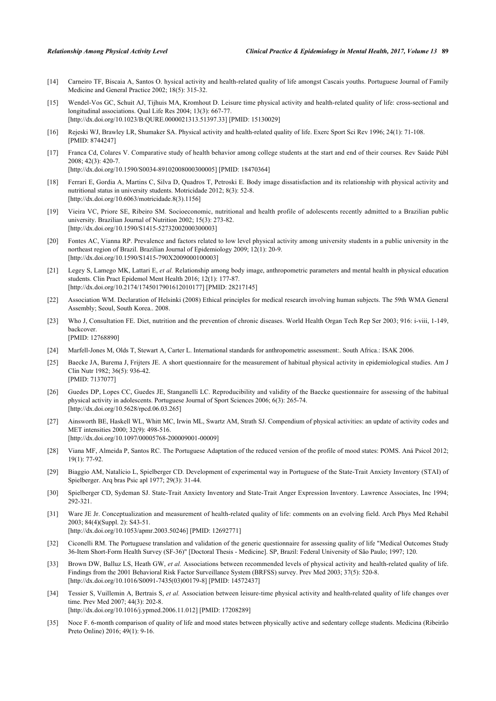- <span id="page-7-0"></span>[14] Carneiro TF, Biscaia A, Santos O. hysical activity and health-related quality of life amongst Cascais youths. Portuguese Journal of Family Medicine and General Practice 2002; 18(5): 315-32.
- <span id="page-7-1"></span>[15] Wendel-Vos GC, Schuit AJ, Tijhuis MA, Kromhout D. Leisure time physical activity and health-related quality of life: cross-sectional and longitudinal associations. Qual Life Res 2004; 13(3): 667-77. [\[http://dx.doi.org/10.1023/B:QURE.0000021313.51397.33](http://dx.doi.org/10.1023/B:QURE.0000021313.51397.33)] [PMID: [15130029\]](http://www.ncbi.nlm.nih.gov/pubmed/15130029)
- <span id="page-7-2"></span>[16] Rejeski WJ, Brawley LR, Shumaker SA. Physical activity and health-related quality of life. Exerc Sport Sci Rev 1996; 24(1): 71-108. [PMID: [8744247\]](http://www.ncbi.nlm.nih.gov/pubmed/8744247)
- <span id="page-7-3"></span>[17] Franca Cd, Colares V. Comparative study of health behavior among college students at the start and end of their courses. Rev Saúde Públ 2008; 42(3): 420-7. [\[http://dx.doi.org/10.1590/S0034-89102008000300005\]](http://dx.doi.org/10.1590/S0034-89102008000300005) [PMID: [18470364](http://www.ncbi.nlm.nih.gov/pubmed/18470364)]
- <span id="page-7-4"></span>[18] Ferrari E, Gordia A, Martins C, Silva D, Quadros T, Petroski E. Body image dissatisfaction and its relationship with physical activity and nutritional status in university students. Motricidade 2012; 8(3): 52-8. [\[http://dx.doi.org/10.6063/motricidade.8\(3\).1156](http://dx.doi.org/10.6063/motricidade.8(3).1156)]
- <span id="page-7-5"></span>[19] Vieira VC, Priore SE, Ribeiro SM. Socioeconomic, nutritional and health profile of adolescents recently admitted to a Brazilian public university. Brazilian Journal of Nutrition 2002; 15(3): 273-82. [\[http://dx.doi.org/10.1590/S1415-52732002000300003\]](http://dx.doi.org/10.1590/S1415-52732002000300003)
- <span id="page-7-6"></span>[20] Fontes AC, Vianna RP. Prevalence and factors related to low level physical activity among university students in a public university in the northeast region of Brazil. Brazilian Journal of Epidemiology 2009; 12(1): 20-9. [\[http://dx.doi.org/10.1590/S1415-790X2009000100003\]](http://dx.doi.org/10.1590/S1415-790X2009000100003)
- <span id="page-7-7"></span>[21] Legey S, Lamego MK, Lattari E, *et al.* Relationship among body image, anthropometric parameters and mental health in physical education students. Clin Pract Epidemol Ment Health 2016; 12(1): 177-87. [\[http://dx.doi.org/10.2174/1745017901612010177\]](http://dx.doi.org/10.2174/1745017901612010177) [PMID: [28217145](http://www.ncbi.nlm.nih.gov/pubmed/28217145)]
- <span id="page-7-8"></span>[22] Association WM. Declaration of Helsinki (2008) Ethical principles for medical research involving human subjects. The 59th WMA General Assembly; Seoul, South Korea.. 2008.
- <span id="page-7-9"></span>[23] Who J, Consultation FE. Diet, nutrition and the prevention of chronic diseases. World Health Organ Tech Rep Ser 2003; 916: i-viii, 1-149, backcover. [PMID: [12768890\]](http://www.ncbi.nlm.nih.gov/pubmed/12768890)
- <span id="page-7-10"></span>[24] Marfell-Jones M, Olds T, Stewart A, Carter L. International standards for anthropometric assessment:. South Africa.: ISAK 2006.
- <span id="page-7-11"></span>[25] Baecke JA, Burema J, Frijters JE. A short questionnaire for the measurement of habitual physical activity in epidemiological studies. Am J Clin Nutr 1982; 36(5): 936-42. [PMID: [7137077\]](http://www.ncbi.nlm.nih.gov/pubmed/7137077)
- <span id="page-7-12"></span>[26] Guedes DP, Lopes CC, Guedes JE, Stanganelli LC. Reproducibility and validity of the Baecke questionnaire for assessing of the habitual physical activity in adolescents. Portuguese Journal of Sport Sciences 2006; 6(3): 265-74. [\[http://dx.doi.org/10.5628/rpcd.06.03.265](http://dx.doi.org/10.5628/rpcd.06.03.265)]
- <span id="page-7-13"></span>[27] Ainsworth BE, Haskell WL, Whitt MC, Irwin ML, Swartz AM, Strath SJ. Compendium of physical activities: an update of activity codes and MET intensities 2000; 32(9): 498-516. [\[http://dx.doi.org/10.1097/00005768-200009001-00009](http://dx.doi.org/10.1097/00005768-200009001-00009)]
- <span id="page-7-14"></span>[28] Viana MF, Almeida P, Santos RC. The Portuguese Adaptation of the reduced version of the profile of mood states: POMS. Aná Psicol 2012; 19(1): 77-92.
- <span id="page-7-15"></span>[29] Biaggio AM, Natalício L, Spielberger CD. Development of experimental way in Portuguese of the State-Trait Anxiety Inventory (STAI) of Spielberger. Arq bras Psic apl 1977; 29(3): 31-44.
- <span id="page-7-16"></span>[30] Spielberger CD, Sydeman SJ. State-Trait Anxiety Inventory and State-Trait Anger Expression Inventory. Lawrence Associates, Inc 1994; 292-321.
- <span id="page-7-17"></span>[31] Ware JE Jr. Conceptualization and measurement of health-related quality of life: comments on an evolving field. Arch Phys Med Rehabil 2003; 84(4)(Suppl. 2): S43-51. [\[http://dx.doi.org/10.1053/apmr.2003.50246](http://dx.doi.org/10.1053/apmr.2003.50246)] [PMID: [12692771\]](http://www.ncbi.nlm.nih.gov/pubmed/12692771)
- <span id="page-7-18"></span>[32] Ciconelli RM. The Portuguese translation and validation of the generic questionnaire for assessing quality of life "Medical Outcomes Study 36-Item Short-Form Health Survey (SF-36)" [Doctoral Thesis - Medicine]. SP, Brazil: Federal University of São Paulo; 1997; 120.
- <span id="page-7-19"></span>[33] Brown DW, Balluz LS, Heath GW, *et al.* Associations between recommended levels of physical activity and health-related quality of life. Findings from the 2001 Behavioral Risk Factor Surveillance System (BRFSS) survey. Prev Med 2003; 37(5): 520-8. [\[http://dx.doi.org/10.1016/S0091-7435\(03\)00179-8\]](http://dx.doi.org/10.1016/S0091-7435(03)00179-8) [PMID: [14572437](http://www.ncbi.nlm.nih.gov/pubmed/14572437)]
- <span id="page-7-20"></span>[34] Tessier S, Vuillemin A, Bertrais S, *et al.* Association between leisure-time physical activity and health-related quality of life changes over time. Prev Med 2007; 44(3): 202-8. [\[http://dx.doi.org/10.1016/j.ypmed.2006.11.012\]](http://dx.doi.org/10.1016/j.ypmed.2006.11.012) [PMID: [17208289](http://www.ncbi.nlm.nih.gov/pubmed/17208289)]
- <span id="page-7-21"></span>[35] Noce F. 6-month comparison of quality of life and mood states between physically active and sedentary college students. Medicina (Ribeirão Preto Online) 2016; 49(1): 9-16.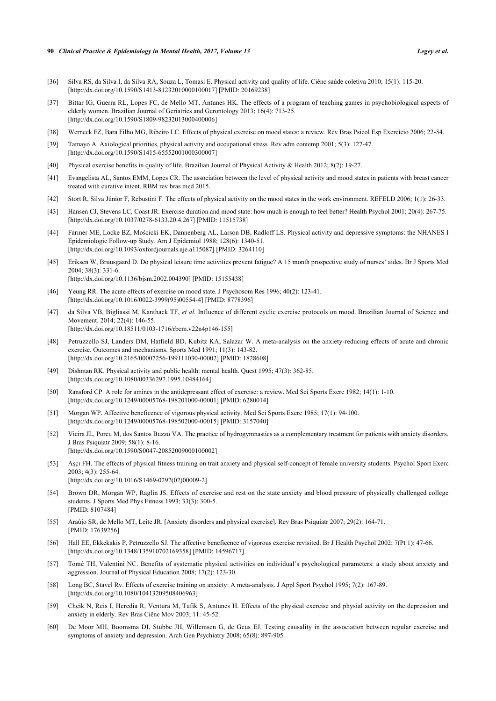- <span id="page-8-0"></span>[36] Silva RS, da Silva I, da Silva RA, Souza L, Tomasi E. Physical activity and quality of life. Ciênc saúde coletiva 2010; 15(1): 115-20. [\[http://dx.doi.org/10.1590/S1413-81232010000100017\]](http://dx.doi.org/10.1590/S1413-81232010000100017) [PMID: [20169238](http://www.ncbi.nlm.nih.gov/pubmed/20169238)]
- <span id="page-8-1"></span>[37] Bittar IG, Guerra RL, Lopes FC, de Mello MT, Antunes HK. The effects of a program of teaching games in psychobiological aspects of elderly women. Brazilian Journal of Geriatrics and Gerontology 2013; 16(4): 713-25. [\[http://dx.doi.org/10.1590/S1809-98232013000400006\]](http://dx.doi.org/10.1590/S1809-98232013000400006)
- <span id="page-8-2"></span>[38] Werneck FZ, Bara Filho MG, Ribeiro LC. Effects of physical exercise on mood states: a review. Rev Bras Psicol Esp Exercício 2006; 22-54.
- <span id="page-8-3"></span>[39] Tamayo A. Axiological priorities, physical activity and occupational stress. Rev adm contemp 2001; 5(3): 127-47. [\[http://dx.doi.org/10.1590/S1415-65552001000300007\]](http://dx.doi.org/10.1590/S1415-65552001000300007)
- <span id="page-8-4"></span>[40] Physical exercise benefits in quality of life. Brazilian Journal of Physical Activity & Health 2012; 8(2): 19-27.
- <span id="page-8-5"></span>[41] Evangelista AL, Santos EMM, Lopes CR. The association between the level of physical activity and mood states in patients with breast cancer treated with curative intent. RBM rev bras med 2015.
- <span id="page-8-6"></span>[42] Stort R, Silva Júnior F, Rebustini F. The effects of physical activity on the mood states in the work environment. REFELD 2006; 1(1): 26-33.
- <span id="page-8-7"></span>[43] Hansen CJ, Stevens LC, Coast JR. Exercise duration and mood state: how much is enough to feel better? Health Psychol 2001; 20(4): 267-75. [\[http://dx.doi.org/10.1037/0278-6133.20.4.267](http://dx.doi.org/10.1037/0278-6133.20.4.267)] [PMID: [11515738](http://www.ncbi.nlm.nih.gov/pubmed/11515738)]
- <span id="page-8-8"></span>[44] Farmer ME, Locke BZ, Mościcki EK, Dannenberg AL, Larson DB, Radloff LS. Physical activity and depressive symptoms: the NHANES I Epidemiologic Follow-up Study. Am J Epidemiol 1988; 128(6): 1340-51. [\[http://dx.doi.org/10.1093/oxfordjournals.aje.a115087\]](http://dx.doi.org/10.1093/oxfordjournals.aje.a115087) [PMID: [3264110](http://www.ncbi.nlm.nih.gov/pubmed/3264110)]
- <span id="page-8-9"></span>[45] Eriksen W, Bruusgaard D. Do physical leisure time activities prevent fatigue? A 15 month prospective study of nurses' aides. Br J Sports Med 2004; 38(3): 331-6. [\[http://dx.doi.org/10.1136/bjsm.2002.004390](http://dx.doi.org/10.1136/bjsm.2002.004390)] [PMID: [15155438\]](http://www.ncbi.nlm.nih.gov/pubmed/15155438)
- <span id="page-8-10"></span>[46] Yeung RR. The acute effects of exercise on mood state. J Psychosom Res 1996; 40(2): 123-41. [\[http://dx.doi.org/10.1016/0022-3999\(95\)00554-4](http://dx.doi.org/10.1016/0022-3999(95)00554-4)] [PMID: [8778396](http://www.ncbi.nlm.nih.gov/pubmed/8778396)]
- <span id="page-8-11"></span>[47] da Silva VB, Bigliassi M, Kanthack TF, *et al.* Influence of different cyclic exercise protocols on mood. Brazilian Journal of Science and Movement. 2014; 22(4): 146-55. [\[http://dx.doi.org/10.18511/0103-1716/rbcm.v22n4p146-155\]](http://dx.doi.org/10.18511/0103-1716/rbcm.v22n4p146-155)
- <span id="page-8-12"></span>[48] Petruzzello SJ, Landers DM, Hatfield BD, Kubitz KA, Salazar W. A meta-analysis on the anxiety-reducing effects of acute and chronic exercise. Outcomes and mechanisms. Sports Med 1991; 11(3): 143-82. [\[http://dx.doi.org/10.2165/00007256-199111030-00002](http://dx.doi.org/10.2165/00007256-199111030-00002)] [PMID: [1828608\]](http://www.ncbi.nlm.nih.gov/pubmed/1828608)
- <span id="page-8-13"></span>[49] Dishman RK. Physical activity and public health: mental health. Quest 1995; 47(3): 362-85. [\[http://dx.doi.org/10.1080/00336297.1995.10484164\]](http://dx.doi.org/10.1080/00336297.1995.10484164)
- <span id="page-8-14"></span>[50] Ransford CP. A role for amines in the antidepressant effect of exercise: a review. Med Sci Sports Exerc 1982; 14(1): 1-10. [\[http://dx.doi.org/10.1249/00005768-198201000-00001](http://dx.doi.org/10.1249/00005768-198201000-00001)] [PMID: [6280014\]](http://www.ncbi.nlm.nih.gov/pubmed/6280014)
- <span id="page-8-15"></span>[51] Morgan WP. Affective beneficence of vigorous physical activity. Med Sci Sports Exerc 1985; 17(1): 94-100. [\[http://dx.doi.org/10.1249/00005768-198502000-00015](http://dx.doi.org/10.1249/00005768-198502000-00015)] [PMID: [3157040\]](http://www.ncbi.nlm.nih.gov/pubmed/3157040)
- <span id="page-8-16"></span>[52] Vieira JL, Porcu M, dos Santos Buzzo VA. The practice of hydrogymnastics as a complementary treatment for patients with anxiety disorders. J Bras Psiquiatr 2009; 58(1): 8-16. [\[http://dx.doi.org/10.1590/S0047-20852009000100002\]](http://dx.doi.org/10.1590/S0047-20852009000100002)
- <span id="page-8-17"></span>[53] Aşçı FH. The effects of physical fitness training on trait anxiety and physical self-concept of female university students. Psychol Sport Exerc 2003; 4(3): 255-64. [\[http://dx.doi.org/10.1016/S1469-0292\(02\)00009-2\]](http://dx.doi.org/10.1016/S1469-0292(02)00009-2)
- <span id="page-8-18"></span>[54] Brown DR, Morgan WP, Raglin JS. Effects of exercise and rest on the state anxiety and blood pressure of physically challenged college students. J Sports Med Phys Fitness 1993; 33(3): 300-5. [PMID: [8107484\]](http://www.ncbi.nlm.nih.gov/pubmed/8107484)
- <span id="page-8-19"></span>[55] Araújo SR, de Mello MT, Leite JR. [Anxiety disorders and physical exercise]. Rev Bras Psiquiatr 2007; 29(2): 164-71. [PMID: [17639256\]](http://www.ncbi.nlm.nih.gov/pubmed/17639256)
- <span id="page-8-20"></span>[56] Hall EE, Ekkekakis P, Petruzzello SJ. The affective beneficence of vigorous exercise revisited. Br J Health Psychol 2002; 7(Pt 1): 47-66. [\[http://dx.doi.org/10.1348/135910702169358\]](http://dx.doi.org/10.1348/135910702169358) [PMID: [14596717](http://www.ncbi.nlm.nih.gov/pubmed/14596717)]
- <span id="page-8-21"></span>[57] Tomé TH, Valentini NC. Benefits of systematic physical activities on individual's psychological parameters: a study about anxiety and aggression. Journal of Physical Education 2008; 17(2): 123-30.
- <span id="page-8-22"></span>[58] Long BC, Stavel Rv. Effects of exercise training on anxiety: A meta-analysis. J Appl Sport Psychol 1995; 7(2): 167-89. [\[http://dx.doi.org/10.1080/10413209508406963\]](http://dx.doi.org/10.1080/10413209508406963)
- <span id="page-8-23"></span>[59] Cheik N, Reis I, Heredia R, Ventura M, Tufik S, Antunes H. Effects of the physical exercise and physial activity on the depression and anxiety in elderly. Rev Bras Ciênc Mov 2003; 11: 45-52.
- <span id="page-8-24"></span>[60] De Moor MH, Boomsma DI, Stubbe JH, Willemsen G, de Geus EJ. Testing causality in the association between regular exercise and symptoms of anxiety and depression. Arch Gen Psychiatry 2008; 65(8): 897-905.